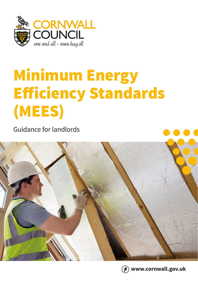

# Minimum Energy Efficiency Standards (MEES)

Guidance for landlords





**www.cornwall.gov.uk**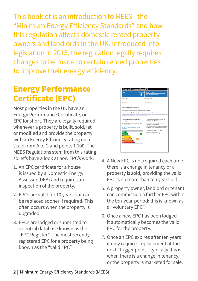This booklet is an introduction to MEES - the "Minimum Energy Efficiency Standards" and how this regulation affects domestic rented property owners and landlords in the UK. Introduced into legislation in 2015, the regulation legally requires changes to be made to certain rented properties to improve their energy efficiency.

### Energy Performance Certificate (EPC)

Most properties in the UK have an Energy Performance Certificate, or EPC for short. They are legally required whenever a property is built, sold, let or modified and provide the property with an Energy Efficiency rating on a scale from A to G and points 1-100. The MEES Regulations stem from this rating so let's have a look at how EPC's work:

- 1. An EPC certificate for a house is issued by a Domestic Energy Assessor (DEA) and requires an inspection of the property.
- 2. EPCs are valid for 10 years but can be replaced sooner if required. This often occurs when the property is upgraded.
- 3. EPCs are lodged or submitted to a central database known as the "EPC Register". The most recently registered EPC for a property being known as the "valid EPC".



- 4. A New EPC is not required each time there is a change in tenancy or a property is sold, providing the valid EPC is no more than ten years old.
- 5. A property owner, landlord or tenant can commission a further EPC within the ten-year-period; this is known as a "voluntary EPC".
- 6. Once a new EPC has been lodged it automatically becomes the valid EPC for the property.
- 7. Once an EPC expires after ten years it only requires replacement at the next "trigger point", typically this is when there is a change in tenancy, or the property is marketed for sale.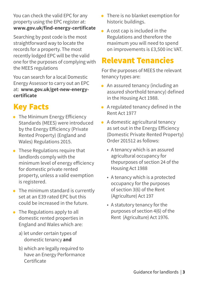You can check the valid EPC for any property using the EPC register at: **www.gov.uk/find-energy-certificate**

Searching by post code is the most straightforward way to locate the records for a property. The most recently lodged EPC will be the valid one for the purposes of complying with the MEES regulations

You can search for a local Domestic Energy Assessor to carry out an EPC at: **[www.gov.uk/get-new-energy](https://www.gov.uk/get-new-energy-certificate)[certificate](https://www.gov.uk/get-new-energy-certificate)**

### Key Facts

- The Minimum Energy Efficiency Standards (MEES) were introduced by the Energy Efficiency (Private Rented Property) (England and Wales) Regulations 2015.
- These Regulations require that landlords comply with the minimum level of energy efficiency for domestic private rented property, unless a valid exemption is registered.
- The minimum standard is currently set at an E39 rated EPC but this could be increased in the future.
- The Regulations apply to all domestic rented properties in England and Wales which are:
	- a) let under certain types of domestic tenancy **and**
	- b) which are legally required to have an Energy Performance Certificate
- There is no blanket exemption for historic buildings.
- A cost cap is included in the Regulations and therefore the maximum you will need to spend on improvements is £3,500 inc VAT.

### Relevant Tenancies

For the purposes of MEES the relevant tenancy types are:

- An assured tenancy (including an assured shorthold tenancy) defined in the Housing Act 1988.
- A regulated tenancy defined in the Rent Act 1977
- A domestic agricultural tenancy as set out in the Energy Efficiency (Domestic Private Rented Property) Order 201512 as follows:
	- A tenancy which is an assured agricultural occupancy for thepurposes of section 24 of the Housing Act 1988
	- A tenancy which is a protected occupancy for the purposes of section 3(6) of the Rent (Agriculture) Act 197
	- A statutory tenancy for the purposes of section 4(6) of the Rent (Agriculture) Act 1976.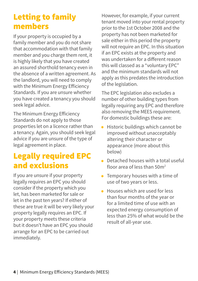### Letting to family members

If your property is occupied by a family member and you do not share that accommodation with that family member and you charge them rent, it is highly likely that you have created an assured shorthold tenancy even in the absence of a written agreement. As the landlord, you will need to comply with the Minimum Energy Efficiency Standards. If you are unsure whether you have created a tenancy you should seek legal advice.

The Minimum Energy Efficiency Standards do not apply to those properties let on a licence rather than a tenancy. Again, you should seek legal advice if you are unsure of the type of legal agreement in place.

### Legally required EPC and exclusions

If you are unsure if your property legally requires an EPC you should consider if the property which you let, has been marketed for sale or let in the past ten years? If either of these are true it will be very likely your property legally requires an EPC. If your property meets these criteria but it doesn't have an EPC you should arrange for an EPC to be carried out immediately.

However, for example, if your current tenant moved into your rental property prior to the 1st October 2008 and the property has not been marketed for sale either in this period the property will not require an EPC. In this situation if an EPC exists at the property and was undertaken for a different reason this will classed as a "voluntary EPC" and the minimum standards will not apply as this predates the introduction of the legislation.

The EPC legislation also excludes a number of other building types from legally requiring any EPC and therefore also removing the MEES requirement. For domestic buildings these are:

- Historic buildings which cannot be improved without unacceptably altering their character or appearance (more about this below)
- Detached houses with a total useful floor area of less than 50m2
- Temporary houses with a time of use of two years or less.
- Houses which are used for less than four months of the year or for a limited time of use with an expected energy consumption of less than 25% of what would be the result of all-year use.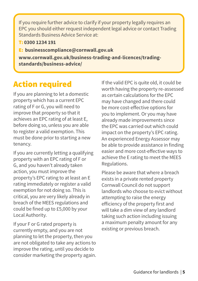If you require further advice to clarify if your property legally requires an EPC you should either request independent legal advice or contact Trading Standards Business Advice Service at:

T: **0300 1234 191**

E: **[businesscompliance@cornwall.gov.uk](mailto:businesscompliance%40cornwall.%20gov.uk?subject=)**

**[www.cornwall.gov.uk/business-trading-and-licences/trading](https://www.cornwall.gov.uk/business-trading-and-licences/trading-standards/business-advice/)[standards/business-advice/](https://www.cornwall.gov.uk/business-trading-and-licences/trading-standards/business-advice/)**

### Action required

If you are planning to let a domestic property which has a current EPC rating of F or G, you will need to improve that property so that it achieves an EPC rating of at least E, before doing so, unless you are able to register a valid exemption. This must be done prior to starting a new tenancy.

If you are currently letting a qualifying property with an EPC rating of F or G, and you haven't already taken action, you must improve the property's EPC rating to at least an E rating immediately or register a valid exemption for not doing so. This is critical, you are very likely already in breach of the MEES regulations and could be fined up to £5,000 by your Local Authority.

If your F or G rated property is currently empty, and you are not planning to let the property, then you are not obligated to take any actions to improve the rating, until you decide to consider marketing the property again. If the valid EPC is quite old, it could be worth having the property re-assessed as certain calculations for the EPC may have changed and there could be more cost-effective options for you to implement. Or you may have already made improvements since the EPC was carried out which could impact on the property's EPC rating. An experienced Energy Assessor may be able to provide assistance in finding easier and more cost-effective ways to achieve the E rating to meet the MEES Regulations.

Please be aware that where a breach exists in a private rented property Cornwall Council do not support landlords who choose to evict without attempting to raise the energy efficiency of the property first and will take a dim view of any landlord taking such action including issuing a maximum penalty amount for any existing or previous breach.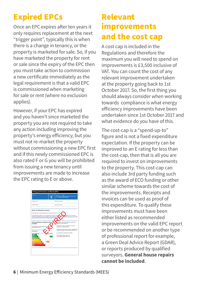### Expired EPCs

Once an EPC expires after ten years it only requires replacement at the next "trigger point", typically this is when there is a change in tenancy, or the property is marketed for sale. So, if you have marketed the property for rent or sale since the expiry of the EPC then you must take action to commission a new certificate immediately as the legal requirement is that a valid EPC is commissioned when marketing for sale or rent (where no exclusion applies).

However, if your EPC has expired and you haven't since marketed the property you are not required to take any action including improving the property's energy efficiency, but you must not re-market the property without commissioning a new EPC first and if this newly commissioned EPC is also rated F or G you will be prohibited from issuing a new tenancy until improvements are made to increase the EPC rating to E or above.



### Relevant improvements and the cost cap

A cost cap is included in the Regulations and therefore the maximum you will need to spend on improvements is £3,500 inclusive of VAT. You can count the cost of any relevant improvement undertaken at the property going back to 1st October 2017. So, the first thing you should always consider when working towards compliance is what energy efficiency improvements have been undertaken since 1st October 2017 and what evidence do you have of this.

The cost-cap is a "spend-up-to" figure and is not a fixed expenditure expectation. If the property can be improved to an E rating for less than the cost-cap, then that is all you are required to invest on improvements to the property. This cost-cap can also include 3rd party funding such as the award of ECO funding or other similar scheme towards the cost of the improvements. Receipts and invoices can be used as proof of this expenditure. To qualify these improvements must have been either listed as recommended improvements on the valid EPC report or be recommended on another type of professional report for example, a Green Deal Advice Report (GDAR), or reports produced by qualified surveyors. **General house repairs cannot be included**.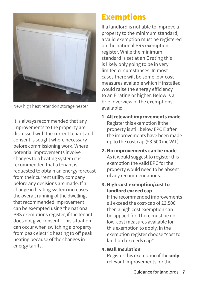

New high heat retention storage heater

It is always recommended that any improvements to the property are discussed with the current tenant and consent is sought where necessary before commissioning work. Where potential improvements involve changes to a heating system it is recommended that a tenant is requested to obtain an energy forecast from their current utility company before any decisions are made. If a change in heating system increases the overall running of the dwelling, that recommended improvement can be exempted using the national PRS exemptions register, if the tenant does not give consent. This situation can occur when switching a property from peak electric heating to off peak heating because of the changes in energy tariffs.

### Exemptions

If a landlord is not able to improve a property to the minimum standard, a valid exemption must be registered on the national PRS exemption register. While the minimum standard is set at an E rating this is likely only going to be in very limited circumstances. In most cases there will be some low-cost measures available which if installed would raise the energy efficiency to an E rating or higher. Below is a brief overview of the exemptions available:

- **1. All relevant improvements made**  Register this exemption if the property is still below EPC E after the improvements have been made up to the cost cap (£3,500 inc VAT).
- **2. No improvements can be made**  As it would suggest to register this exemption the valid EPC for the property would need to be absent of any recommendations.
- **3. High cost exemption/cost to landlord exceed cap**

If the recommended improvements all exceed the cost-cap of £3,500 then a high cost exemption can be applied for. There must be no low-cost measures available for this exemption to apply. In the exemption register choose "cost to landlord exceeds cap".

#### **4. Wall Insulation**

Register this exemption if the **only** relevant improvements for the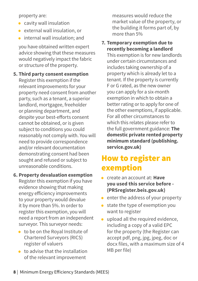property are:

- cavity wall insulation
- external wall insulation, or
- internal wall insulation; and

you have obtained written expert advice showing that these measures would negatively impact the fabric or structure of the property.

**5. Third party consent exemption**  Register this exemption if the relevant improvements for your property need consent from another party, such as a tenant, a superior landlord, mortgagee, freeholder or planning department, and despite your best-efforts consent cannot be obtained, or is given subject to conditions you could reasonably not comply with. You will need to provide correspondence and/or relevant documentation demonstrating consent had been sought and refused or subject to unreasonable conditions.

#### **6. Property devaluation exemption**

Register this exemption if you have evidence showing that making energy efficiency improvements to your property would devalue it by more than 5%. In order to register this exemption, you will need a report from an independent surveyor. This surveyor needs:

- to be on the Royal Institute of Chartered Surveyors (RICS) register of valuers
- to advise that the installation of the relevant improvement

measures would reduce the market value of the property, or the building it forms part of, by more than 5%

#### **7. Temporary exemption due to recently becoming a landlord**

This exemption is for new landlords under certain circumstances and includes taking ownership of a property which is already let to a tenant. If the property is currently F or G rated, as the new owner you can apply for a six-month exemption in which to obtain a better rating or to apply for one of the other exemptions, if applicable. For all other circumstances to which this relates please refer to the full government guidance: **[The](http://www.gov.uk/guidance/domestic-private-rented-property-minimum-energy-efficiency-standard-landlord-guidance)  [domestic private rented property](http://www.gov.uk/guidance/domestic-private-rented-property-minimum-energy-efficiency-standard-landlord-guidance)  [minimum standard \(publishing.](http://www.gov.uk/guidance/domestic-private-rented-property-minimum-energy-efficiency-standard-landlord-guidance) [service.gov.uk\)](http://www.gov.uk/guidance/domestic-private-rented-property-minimum-energy-efficiency-standard-landlord-guidance)**

### How to register an exemption

- create an account at: **[Have](https://prsregister.beis.gov.uk/NdsBeisUi/used-service-before)  [you used this service before -](https://prsregister.beis.gov.uk/NdsBeisUi/used-service-before)  [\(PRSregister.beis.gov.uk\)](https://prsregister.beis.gov.uk/NdsBeisUi/used-service-before)**
- enter the address of your property
- state the type of exemption you want to register
- upload all the required evidence, including a copy of a valid EPC for the property (the Register can accept pdf, png, jpg, jpeg, doc or docx files, with a maximum size of 4 MB per file)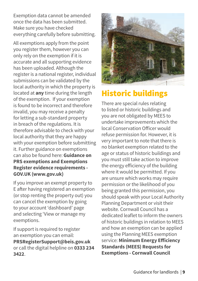Exemption data cannot be amended once the data has been submitted. Make sure you have checked everything carefully before submitting.

All exemptions apply from the point you register them, however you can only rely on the exemption if it is accurate and all supporting evidence has been uploaded. Although the register is a national register, individual submissions can be validated by the local authority in which the property is located at **any** time during the length of the exemption. If your exemption is found to be incorrect and therefore invalid, you may receive a penalty for letting a sub-standard property in breach of the regulations. It is therefore advisable to check with your local authority that they are happy with your exemption before submitting it. Further guidance on exemptions can also be found here: **Guidance on PRS exemptions and Exemptions Register evidence requirements - GOV.UK [\(www.gov.uk\)](https://www.gov.uk/government/publications/private-rented-sector-minimum-energy-efficiency-standard-exemptions/guidance-on-prs-exemptions-and-exemptions-register-evidence-requirements)**

If you improve an exempt property to E after having registered an exemption (or stop renting the property out) you can cancel the exemption by going to your account 'dashboard' page and selecting 'View or manage my exemptions.

If support is required to register an exemption you can email: **[PRSRegisterSupport@beis.gov.uk](mailto:PRSRegisterSupport%40beis.gov.uk?subject=)** or call the digital helpline on **0333 234 3422**.



### Historic buildings

There are special rules relating to listed or historic buildings and you are not obligated by MEES to undertake improvements which the local Conservation Officer would refuse permission for. However, it is very important to note that there is no blanket exemption related to the age or status of historic buildings and you must still take action to improve the energy efficiency of the building where it would be permitted. If you are unsure which works may require permission or the likelihood of you being granted this permission, you should speak with your Local Authority Planning Department or visit their website. Cornwall Council has a dedicated leaflet to inform the owners of historic buildings in relation to MEES and how an exemption can be applied using the Planning MEES exemption service: **[Minimum Energy Efficiency](https://www.cornwall.gov.uk/planning-and-building-control/fees-and-additional-services/minimum-energy-efficiency-standards-mees-requests-for-exemptions/)  [Standards \(MEES\) Requests for](https://www.cornwall.gov.uk/planning-and-building-control/fees-and-additional-services/minimum-energy-efficiency-standards-mees-requests-for-exemptions/)  [Exemptions - Cornwall Council](https://www.cornwall.gov.uk/planning-and-building-control/fees-and-additional-services/minimum-energy-efficiency-standards-mees-requests-for-exemptions/)**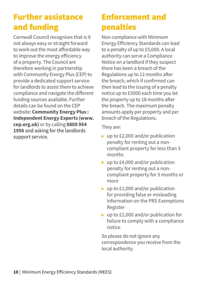### Further assistance and funding

Cornwall Council recognises that is it not always easy or straight forward to work out the most affordable way to improve the energy efficiency of a property. The Council are therefore working in partnership with Community Energy Plus (CEP) to provide a dedicated support service for landlords to assist them to achieve compliance and navigate the different funding sources available. Further details can be found on the CEP website: **[Community Energy Plus :](https://www.cep.org.uk/)  [Independent Energy Experts \(www.](https://www.cep.org.uk/) [cep.org.uk\)](https://www.cep.org.uk/)** or by calling **0800 954 1956** and asking for the landlords support service.

### Enforcement and penalties

Non-compliance with Minimum Energy Efficiency Standards can lead to a penalty of up to £5,000. A local authority can serve a Compliance Notice on a landlord if they suspect there has been a breach of the Regulations up to 12 months after the breach, which if confirmed can then lead to the issuing of a penalty notice up to £5000 each time you let the property up to 18 months after the breach. The maximum penalty amounts apply per property and per breach of the Regulations.

They are:

- up to £2,000 and/or publication penalty for renting out a noncompliant property for less than 3 months
- up to £4,000 and/or publication penalty for renting out a noncompliant property for 3 months or more
- up to £1,000 and/or publication for providing false or misleading information on the PRS Exemptions Register
- up to £2,000 and/or publication for failure to comply with a compliance notice

So please do not ignore any correspondence you receive from the local authority.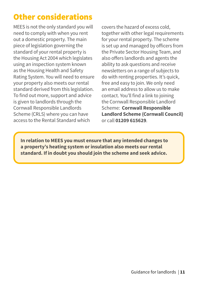### Other considerations

MEES is not the only standard you will need to comply with when you rent out a domestic property. The main piece of legislation governing the standard of your rental property is the Housing Act 2004 which legislates using an inspection system known as the Housing Health and Safety Rating System. You will need to ensure your property also meets our rental standard derived from this legislation. To find out more, support and advice is given to landlords through the Cornwall Responsible Landlords Scheme (CRLS) where you can have access to the Rental Standard which

covers the hazard of excess cold, together with other legal requirements for your rental property. The scheme is set up and managed by officers from the Private Sector Housing Team, and also offers landlords and agents the ability to ask questions and receive newsletters on a range of subjects to do with renting properties. It's quick, free and easy to join. We only need an email address to allow us to make contact. You'll find a link to joining the Cornwall Responsible Landlord Scheme: **[Cornwall Responsible](https://www.cornwall.gov.uk/housing/private-housing/cornwall-responsible-landlord-scheme/)  [Landlord Scheme \(Cornwall Council\)](https://www.cornwall.gov.uk/housing/private-housing/cornwall-responsible-landlord-scheme/)** or call **01209 615629**.

**In relation to MEES you must ensure that any intended changes to a property's heating system or insulation also meets our rental standard. If in doubt you should join the scheme and seek advice.**